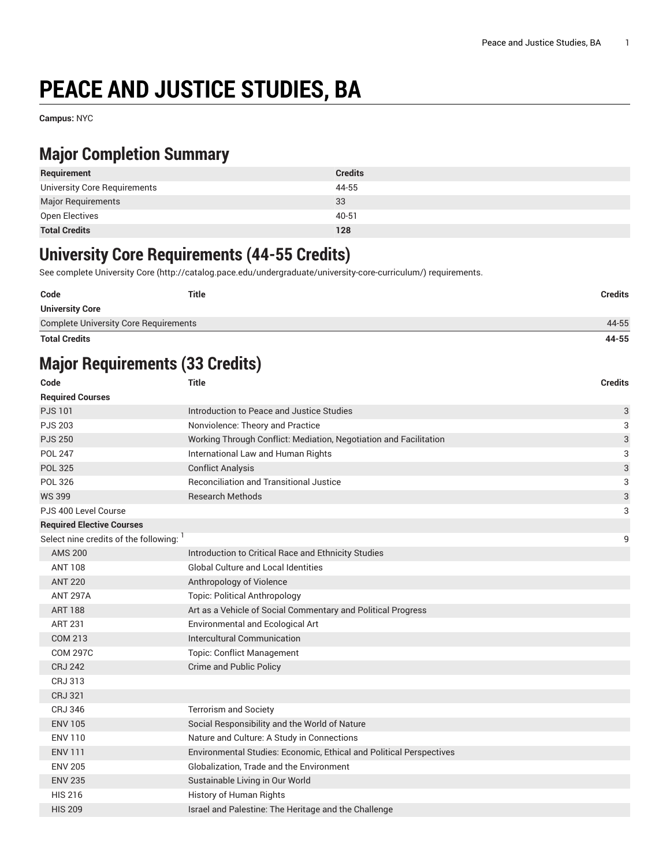# **PEACE AND JUSTICE STUDIES, BA**

**Campus:** NYC

### **Major Completion Summary**

| Requirement                  | <b>Credits</b> |
|------------------------------|----------------|
| University Core Requirements | 44-55          |
| <b>Major Requirements</b>    | 33             |
| Open Electives               | 40-51          |
| <b>Total Credits</b>         | 128            |

#### **University Core Requirements (44-55 Credits)**

See complete [University](http://catalog.pace.edu/undergraduate/university-core-curriculum/) Core (<http://catalog.pace.edu/undergraduate/university-core-curriculum/>) requirements.

| Code                                         | Title | <b>Credits</b> |
|----------------------------------------------|-------|----------------|
| <b>University Core</b>                       |       |                |
| <b>Complete University Core Requirements</b> |       | 44-55          |
| <b>Total Credits</b>                         |       | 44-55          |

# **Major Requirements (33 Credits)**

| Code                                    | <b>Title</b>                                                        | <b>Credits</b> |
|-----------------------------------------|---------------------------------------------------------------------|----------------|
| <b>Required Courses</b>                 |                                                                     |                |
| <b>PJS101</b>                           | Introduction to Peace and Justice Studies                           | 3              |
| <b>PJS 203</b>                          | Nonviolence: Theory and Practice                                    | 3              |
| <b>PJS 250</b>                          | Working Through Conflict: Mediation, Negotiation and Facilitation   | 3              |
| <b>POL 247</b>                          | International Law and Human Rights                                  | 3              |
| <b>POL 325</b>                          | <b>Conflict Analysis</b>                                            | 3              |
| <b>POL 326</b>                          | <b>Reconciliation and Transitional Justice</b>                      | 3              |
| <b>WS 399</b>                           | <b>Research Methods</b>                                             | 3              |
| PJS 400 Level Course                    |                                                                     | 3              |
| <b>Required Elective Courses</b>        |                                                                     |                |
| Select nine credits of the following: 1 |                                                                     | 9              |
| <b>AMS 200</b>                          | Introduction to Critical Race and Ethnicity Studies                 |                |
| <b>ANT 108</b>                          | <b>Global Culture and Local Identities</b>                          |                |
| <b>ANT 220</b>                          | Anthropology of Violence                                            |                |
| <b>ANT 297A</b>                         | <b>Topic: Political Anthropology</b>                                |                |
| <b>ART 188</b>                          | Art as a Vehicle of Social Commentary and Political Progress        |                |
| <b>ART 231</b>                          | Environmental and Ecological Art                                    |                |
| <b>COM 213</b>                          | Intercultural Communication                                         |                |
| <b>COM 297C</b>                         | <b>Topic: Conflict Management</b>                                   |                |
| <b>CRJ 242</b>                          | Crime and Public Policy                                             |                |
| CRJ 313                                 |                                                                     |                |
| <b>CRJ 321</b>                          |                                                                     |                |
| <b>CRJ 346</b>                          | <b>Terrorism and Society</b>                                        |                |
| <b>ENV 105</b>                          | Social Responsibility and the World of Nature                       |                |
| <b>ENV 110</b>                          | Nature and Culture: A Study in Connections                          |                |
| <b>ENV 111</b>                          | Environmental Studies: Economic, Ethical and Political Perspectives |                |
| <b>ENV 205</b>                          | Globalization, Trade and the Environment                            |                |
| <b>ENV 235</b>                          | Sustainable Living in Our World                                     |                |
| <b>HIS 216</b>                          | History of Human Rights                                             |                |
| <b>HIS 209</b>                          | Israel and Palestine: The Heritage and the Challenge                |                |
|                                         |                                                                     |                |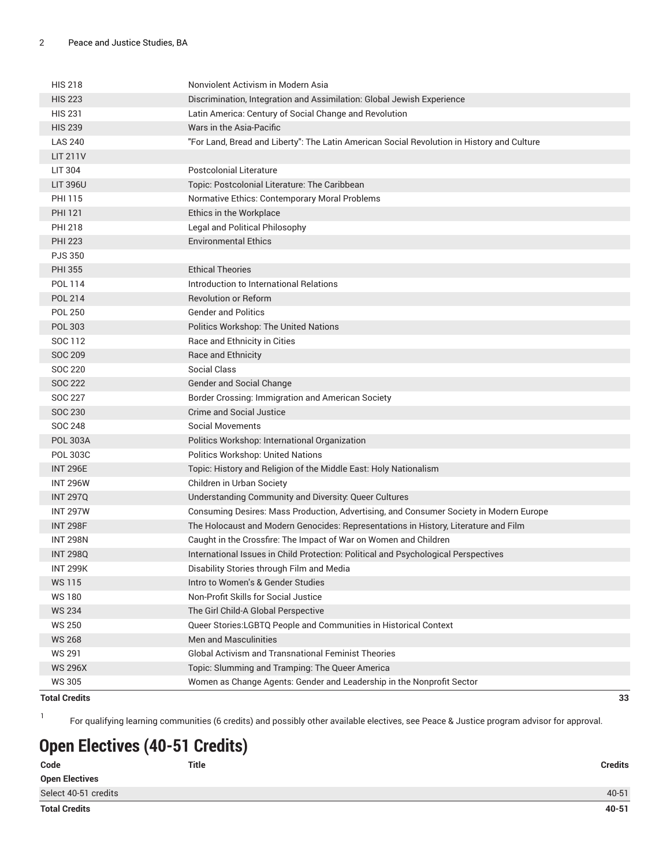| <b>HIS 218</b>  | Nonviolent Activism in Modern Asia                                                         |
|-----------------|--------------------------------------------------------------------------------------------|
| <b>HIS 223</b>  | Discrimination, Integration and Assimilation: Global Jewish Experience                     |
| <b>HIS 231</b>  | Latin America: Century of Social Change and Revolution                                     |
| <b>HIS 239</b>  | Wars in the Asia-Pacific                                                                   |
| <b>LAS 240</b>  | "For Land, Bread and Liberty": The Latin American Social Revolution in History and Culture |
| <b>LIT 211V</b> |                                                                                            |
| LIT 304         | <b>Postcolonial Literature</b>                                                             |
| <b>LIT 396U</b> | Topic: Postcolonial Literature: The Caribbean                                              |
| <b>PHI 115</b>  | Normative Ethics: Contemporary Moral Problems                                              |
| <b>PHI 121</b>  | Ethics in the Workplace                                                                    |
| <b>PHI 218</b>  | Legal and Political Philosophy                                                             |
| <b>PHI 223</b>  | <b>Environmental Ethics</b>                                                                |
| <b>PJS 350</b>  |                                                                                            |
| <b>PHI 355</b>  | <b>Ethical Theories</b>                                                                    |
| POL 114         | Introduction to International Relations                                                    |
| <b>POL 214</b>  | <b>Revolution or Reform</b>                                                                |
| <b>POL 250</b>  | <b>Gender and Politics</b>                                                                 |
| POL 303         | Politics Workshop: The United Nations                                                      |
| SOC 112         | Race and Ethnicity in Cities                                                               |
| <b>SOC 209</b>  | Race and Ethnicity                                                                         |
| SOC 220         | Social Class                                                                               |
| <b>SOC 222</b>  | Gender and Social Change                                                                   |
| SOC 227         | Border Crossing: Immigration and American Society                                          |
| <b>SOC 230</b>  | <b>Crime and Social Justice</b>                                                            |
| <b>SOC 248</b>  | <b>Social Movements</b>                                                                    |
| <b>POL 303A</b> | Politics Workshop: International Organization                                              |
| POL 303C        | Politics Workshop: United Nations                                                          |
| <b>INT 296E</b> | Topic: History and Religion of the Middle East: Holy Nationalism                           |
| <b>INT 296W</b> | Children in Urban Society                                                                  |
| <b>INT 297Q</b> | Understanding Community and Diversity: Queer Cultures                                      |
| <b>INT 297W</b> | Consuming Desires: Mass Production, Advertising, and Consumer Society in Modern Europe     |
| <b>INT 298F</b> | The Holocaust and Modern Genocides: Representations in History, Literature and Film        |
| <b>INT 298N</b> | Caught in the Crossfire: The Impact of War on Women and Children                           |
| <b>INT 298Q</b> | International Issues in Child Protection: Political and Psychological Perspectives         |
| <b>INT 299K</b> | Disability Stories through Film and Media                                                  |
| WS 115          | Intro to Women's & Gender Studies                                                          |
| <b>WS180</b>    | Non-Profit Skills for Social Justice                                                       |
| <b>WS 234</b>   | The Girl Child-A Global Perspective                                                        |
| <b>WS 250</b>   | Queer Stories:LGBTQ People and Communities in Historical Context                           |
| <b>WS 268</b>   | Men and Masculinities                                                                      |
| <b>WS 291</b>   | <b>Global Activism and Transnational Feminist Theories</b>                                 |
| <b>WS 296X</b>  | Topic: Slumming and Tramping: The Queer America                                            |
| <b>WS 305</b>   | Women as Change Agents: Gender and Leadership in the Nonprofit Sector                      |

#### **Total Credits 33**

1

For qualifying learning communities (6 credits) and possibly other available electives, see Peace & Justice program advisor for approval.

# **Open Electives (40-51 Credits)**

| Code                  | <b>Title</b> | <b>Credits</b> |
|-----------------------|--------------|----------------|
| <b>Open Electives</b> |              |                |
| Select 40-51 credits  |              | 40-51          |
| <b>Total Credits</b>  |              | $40 - 51$      |